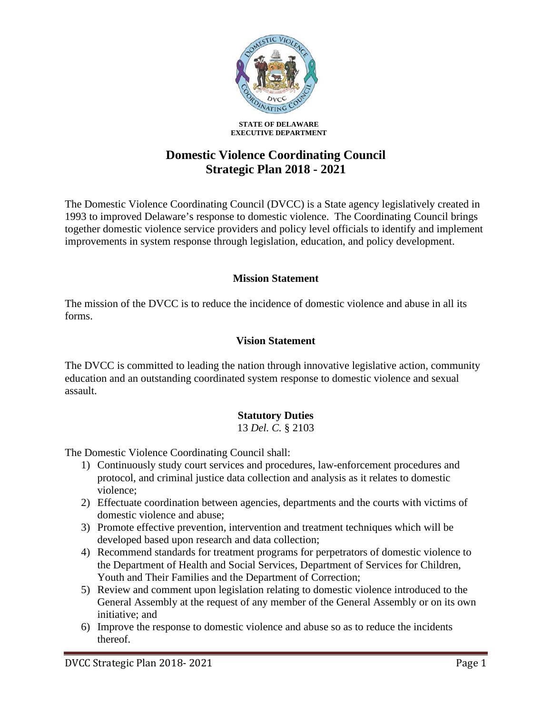

**STATE OF DELAWARE EXECUTIVE DEPARTMENT**

# **Domestic Violence Coordinating Council Strategic Plan 2018 - 2021**

The Domestic Violence Coordinating Council (DVCC) is a State agency legislatively created in 1993 to improved Delaware's response to domestic violence. The Coordinating Council brings together domestic violence service providers and policy level officials to identify and implement improvements in system response through legislation, education, and policy development.

#### **Mission Statement**

The mission of the DVCC is to reduce the incidence of domestic violence and abuse in all its forms.

### **Vision Statement**

The DVCC is committed to leading the nation through innovative legislative action, community education and an outstanding coordinated system response to domestic violence and sexual assault.

### **Statutory Duties**

13 *Del. C.* § 2103

The Domestic Violence Coordinating Council shall:

- 1) Continuously study court services and procedures, law-enforcement procedures and protocol, and criminal justice data collection and analysis as it relates to domestic violence;
- 2) Effectuate coordination between agencies, departments and the courts with victims of domestic violence and abuse;
- 3) Promote effective prevention, intervention and treatment techniques which will be developed based upon research and data collection;
- 4) Recommend standards for treatment programs for perpetrators of domestic violence to the Department of Health and Social Services, Department of Services for Children, Youth and Their Families and the Department of Correction;
- 5) Review and comment upon legislation relating to domestic violence introduced to the General Assembly at the request of any member of the General Assembly or on its own initiative; and
- 6) Improve the response to domestic violence and abuse so as to reduce the incidents thereof.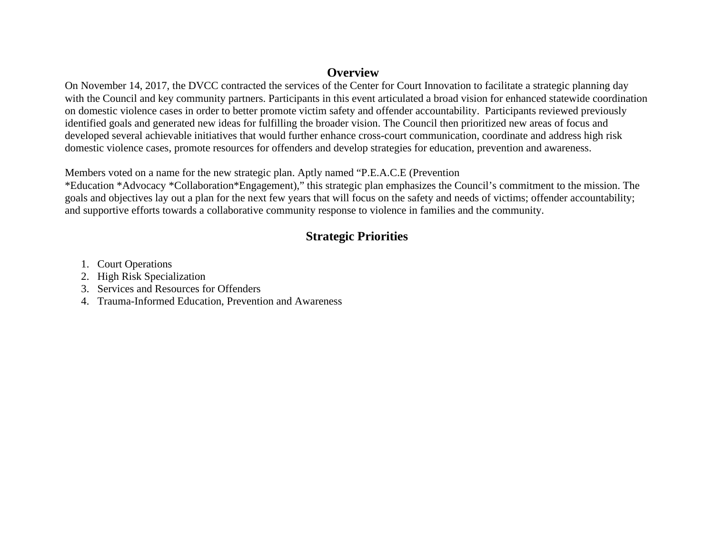### **Overview**

On November 14, 2017, the DVCC contracted the services of the Center for Court Innovation to facilitate a strategic planning day with the Council and key community partners. Participants in this event articulated a broad vision for enhanced statewide coordination on domestic violence cases in order to better promote victim safety and offender accountability. Participants reviewed previously identified goals and generated new ideas for fulfilling the broader vision. The Council then prioritized new areas of focus and developed several achievable initiatives that would further enhance cross-court communication, coordinate and address high risk domestic violence cases, promote resources for offenders and develop strategies for education, prevention and awareness.

Members voted on a name for the new strategic plan. Aptly named "P.E.A.C.E (Prevention

\*Education \*Advocacy \*Collaboration\*Engagement)," this strategic plan emphasizes the Council's commitment to the mission. The goals and objectives lay out a plan for the next few years that will focus on the safety and needs of victims; offender accountability; and supportive efforts towards a collaborative community response to violence in families and the community.

## **Strategic Priorities**

- 1. Court Operations
- 2. High Risk Specialization
- 3. Services and Resources for Offenders
- 4. Trauma-Informed Education, Prevention and Awareness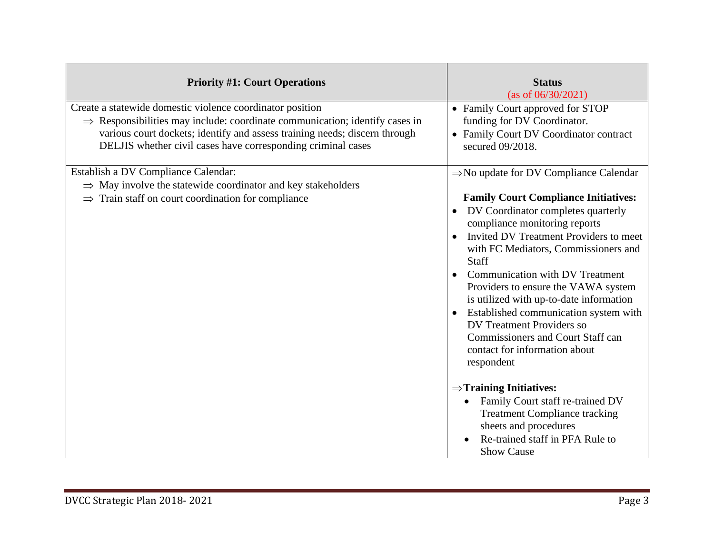| <b>Priority #1: Court Operations</b>                                                                                                                                                                                                                                                               | <b>Status</b><br>(as of $06/30/2021$ )                                                                                                                                                                                                                                                                                                                                                                                                                                                                                                                                  |
|----------------------------------------------------------------------------------------------------------------------------------------------------------------------------------------------------------------------------------------------------------------------------------------------------|-------------------------------------------------------------------------------------------------------------------------------------------------------------------------------------------------------------------------------------------------------------------------------------------------------------------------------------------------------------------------------------------------------------------------------------------------------------------------------------------------------------------------------------------------------------------------|
| Create a statewide domestic violence coordinator position<br>$\Rightarrow$ Responsibilities may include: coordinate communication; identify cases in<br>various court dockets; identify and assess training needs; discern through<br>DELJIS whether civil cases have corresponding criminal cases | • Family Court approved for STOP<br>funding for DV Coordinator.<br>• Family Court DV Coordinator contract<br>secured 09/2018.                                                                                                                                                                                                                                                                                                                                                                                                                                           |
| Establish a DV Compliance Calendar:<br>$\Rightarrow$ May involve the statewide coordinator and key stakeholders<br>$\Rightarrow$ Train staff on court coordination for compliance                                                                                                                  | $\Rightarrow$ No update for DV Compliance Calendar<br><b>Family Court Compliance Initiatives:</b><br>DV Coordinator completes quarterly<br>compliance monitoring reports<br>Invited DV Treatment Providers to meet<br>with FC Mediators, Commissioners and<br>Staff<br><b>Communication with DV Treatment</b><br>Providers to ensure the VAWA system<br>is utilized with up-to-date information<br>Established communication system with<br><b>DV</b> Treatment Providers so<br><b>Commissioners and Court Staff can</b><br>contact for information about<br>respondent |
|                                                                                                                                                                                                                                                                                                    | $\Rightarrow$ Training Initiatives:<br>Family Court staff re-trained DV<br>$\bullet$<br><b>Treatment Compliance tracking</b><br>sheets and procedures<br>Re-trained staff in PFA Rule to<br><b>Show Cause</b>                                                                                                                                                                                                                                                                                                                                                           |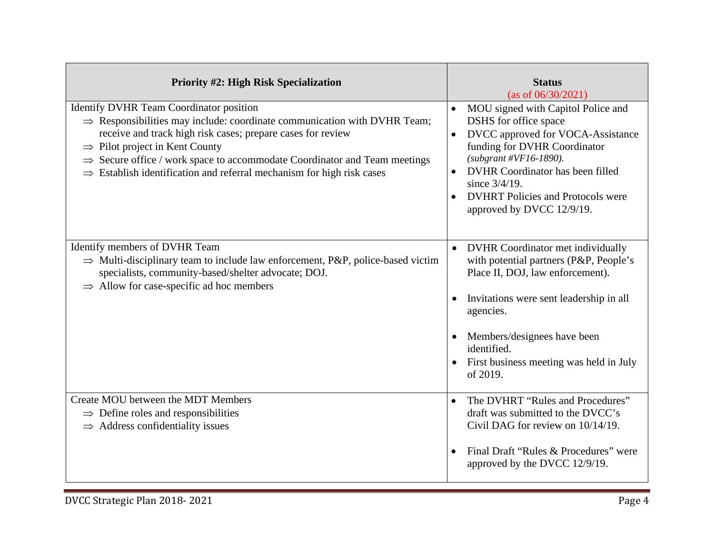| <b>Priority #2: High Risk Specialization</b>                                                                                                                                                                                                                                                                                                                                                                               | <b>Status</b><br>(as of $06/30/2021$ )                                                                                                                                                                                                                                                                                |
|----------------------------------------------------------------------------------------------------------------------------------------------------------------------------------------------------------------------------------------------------------------------------------------------------------------------------------------------------------------------------------------------------------------------------|-----------------------------------------------------------------------------------------------------------------------------------------------------------------------------------------------------------------------------------------------------------------------------------------------------------------------|
| Identify DVHR Team Coordinator position<br>$\Rightarrow$ Responsibilities may include: coordinate communication with DVHR Team;<br>receive and track high risk cases; prepare cases for review<br>$\Rightarrow$ Pilot project in Kent County<br>$\Rightarrow$ Secure office / work space to accommodate Coordinator and Team meetings<br>$\Rightarrow$ Establish identification and referral mechanism for high risk cases | MOU signed with Capitol Police and<br>DSHS for office space<br>DVCC approved for VOCA-Assistance<br>$\bullet$<br>funding for DVHR Coordinator<br>(subgrant #VF16-1890).<br>DVHR Coordinator has been filled<br>$\bullet$<br>since $3/4/19$ .<br><b>DVHRT</b> Policies and Protocols were<br>approved by DVCC 12/9/19. |
| Identify members of DVHR Team<br>$\Rightarrow$ Multi-disciplinary team to include law enforcement, P&P, police-based victim<br>specialists, community-based/shelter advocate; DOJ.<br>$\Rightarrow$ Allow for case-specific ad hoc members                                                                                                                                                                                 | • DVHR Coordinator met individually<br>with potential partners (P&P, People's<br>Place II, DOJ, law enforcement).<br>Invitations were sent leadership in all<br>agencies.<br>Members/designees have been<br>identified.<br>First business meeting was held in July<br>of 2019.                                        |
| Create MOU between the MDT Members<br>$\Rightarrow$ Define roles and responsibilities<br>$\Rightarrow$ Address confidentiality issues                                                                                                                                                                                                                                                                                      | The DVHRT "Rules and Procedures"<br>$\bullet$<br>draft was submitted to the DVCC's<br>Civil DAG for review on 10/14/19.<br>Final Draft "Rules & Procedures" were<br>approved by the DVCC 12/9/19.                                                                                                                     |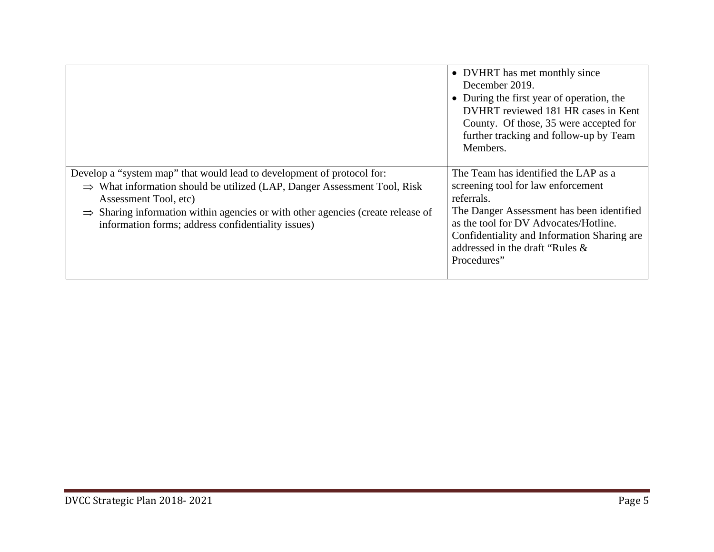|                                                                                                                                                                                                                                                                                                                                              | • DVHRT has met monthly since<br>December 2019.<br>• During the first year of operation, the<br>DVHRT reviewed 181 HR cases in Kent<br>County. Of those, 35 were accepted for<br>further tracking and follow-up by Team<br>Members.                                             |
|----------------------------------------------------------------------------------------------------------------------------------------------------------------------------------------------------------------------------------------------------------------------------------------------------------------------------------------------|---------------------------------------------------------------------------------------------------------------------------------------------------------------------------------------------------------------------------------------------------------------------------------|
| Develop a "system map" that would lead to development of protocol for:<br>$\Rightarrow$ What information should be utilized (LAP, Danger Assessment Tool, Risk<br>Assessment Tool, etc)<br>$\Rightarrow$ Sharing information within agencies or with other agencies (create release of<br>information forms; address confidentiality issues) | The Team has identified the LAP as a<br>screening tool for law enforcement<br>referrals.<br>The Danger Assessment has been identified<br>as the tool for DV Advocates/Hotline.<br>Confidentiality and Information Sharing are<br>addressed in the draft "Rules &<br>Procedures" |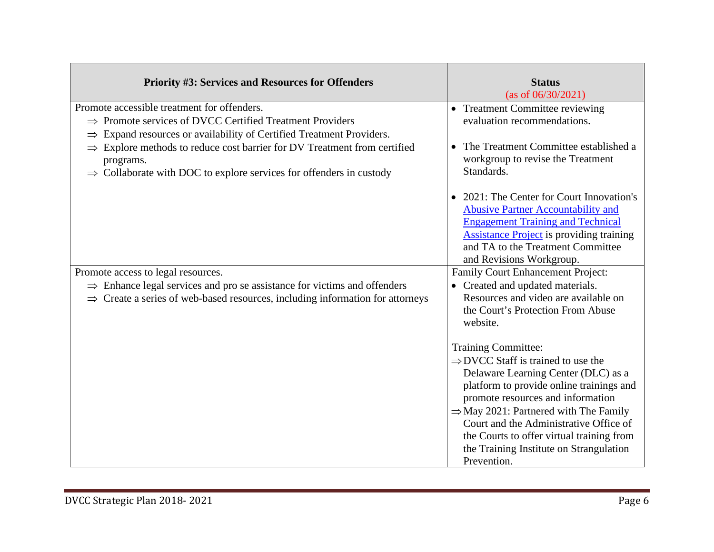| <b>Priority #3: Services and Resources for Offenders</b>                                                                                                                                                                                                                 | <b>Status</b><br>(as of 06/30/2021)                                                                                                                                                                                                                                                                                                                                                                        |
|--------------------------------------------------------------------------------------------------------------------------------------------------------------------------------------------------------------------------------------------------------------------------|------------------------------------------------------------------------------------------------------------------------------------------------------------------------------------------------------------------------------------------------------------------------------------------------------------------------------------------------------------------------------------------------------------|
| Promote accessible treatment for offenders.<br>$\Rightarrow$ Promote services of DVCC Certified Treatment Providers                                                                                                                                                      | • Treatment Committee reviewing<br>evaluation recommendations.                                                                                                                                                                                                                                                                                                                                             |
| $\Rightarrow$ Expand resources or availability of Certified Treatment Providers.<br>$\Rightarrow$ Explore methods to reduce cost barrier for DV Treatment from certified<br>programs.<br>$\Rightarrow$ Collaborate with DOC to explore services for offenders in custody | • The Treatment Committee established a<br>workgroup to revise the Treatment<br>Standards.                                                                                                                                                                                                                                                                                                                 |
|                                                                                                                                                                                                                                                                          | • 2021: The Center for Court Innovation's<br><b>Abusive Partner Accountability and</b><br><b>Engagement Training and Technical</b><br><b>Assistance Project</b> is providing training<br>and TA to the Treatment Committee<br>and Revisions Workgroup.                                                                                                                                                     |
| Promote access to legal resources.<br>$\Rightarrow$ Enhance legal services and pro se assistance for victims and offenders<br>$\Rightarrow$ Create a series of web-based resources, including information for attorneys                                                  | Family Court Enhancement Project:<br>• Created and updated materials.<br>Resources and video are available on<br>the Court's Protection From Abuse<br>website.                                                                                                                                                                                                                                             |
|                                                                                                                                                                                                                                                                          | <b>Training Committee:</b><br>$\Rightarrow$ DVCC Staff is trained to use the<br>Delaware Learning Center (DLC) as a<br>platform to provide online trainings and<br>promote resources and information<br>$\Rightarrow$ May 2021: Partnered with The Family<br>Court and the Administrative Office of<br>the Courts to offer virtual training from<br>the Training Institute on Strangulation<br>Prevention. |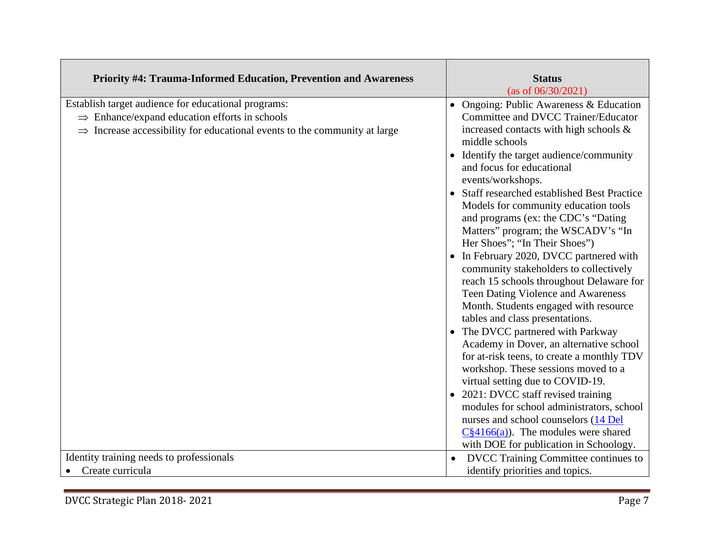| Priority #4: Trauma-Informed Education, Prevention and Awareness                                                                                                                                          | <b>Status</b><br>(as of $06/30/2021$ )                                                                                                                                                                                                                                                                                                                                                                                                                                                                                                                                                                                                                                                                                                                                                                                                                                                                                                                                                                                                                                                                                         |
|-----------------------------------------------------------------------------------------------------------------------------------------------------------------------------------------------------------|--------------------------------------------------------------------------------------------------------------------------------------------------------------------------------------------------------------------------------------------------------------------------------------------------------------------------------------------------------------------------------------------------------------------------------------------------------------------------------------------------------------------------------------------------------------------------------------------------------------------------------------------------------------------------------------------------------------------------------------------------------------------------------------------------------------------------------------------------------------------------------------------------------------------------------------------------------------------------------------------------------------------------------------------------------------------------------------------------------------------------------|
| Establish target audience for educational programs:<br>$\Rightarrow$ Enhance/expand education efforts in schools<br>$\Rightarrow$ Increase accessibility for educational events to the community at large | • Ongoing: Public Awareness $& Education$<br>Committee and DVCC Trainer/Educator<br>increased contacts with high schools $\&$<br>middle schools<br>• Identify the target audience/community<br>and focus for educational<br>events/workshops.<br>• Staff researched established Best Practice<br>Models for community education tools<br>and programs (ex: the CDC's "Dating<br>Matters" program; the WSCADV's "In<br>Her Shoes"; "In Their Shoes")<br>• In February 2020, DVCC partnered with<br>community stakeholders to collectively<br>reach 15 schools throughout Delaware for<br>Teen Dating Violence and Awareness<br>Month. Students engaged with resource<br>tables and class presentations.<br>• The DVCC partnered with Parkway<br>Academy in Dover, an alternative school<br>for at-risk teens, to create a monthly TDV<br>workshop. These sessions moved to a<br>virtual setting due to COVID-19.<br>• 2021: DVCC staff revised training<br>modules for school administrators, school<br>nurses and school counselors (14 Del<br>$C84166(a)$ . The modules were shared<br>with DOE for publication in Schoology. |
| Identity training needs to professionals                                                                                                                                                                  | DVCC Training Committee continues to                                                                                                                                                                                                                                                                                                                                                                                                                                                                                                                                                                                                                                                                                                                                                                                                                                                                                                                                                                                                                                                                                           |
| Create curricula                                                                                                                                                                                          | identify priorities and topics.                                                                                                                                                                                                                                                                                                                                                                                                                                                                                                                                                                                                                                                                                                                                                                                                                                                                                                                                                                                                                                                                                                |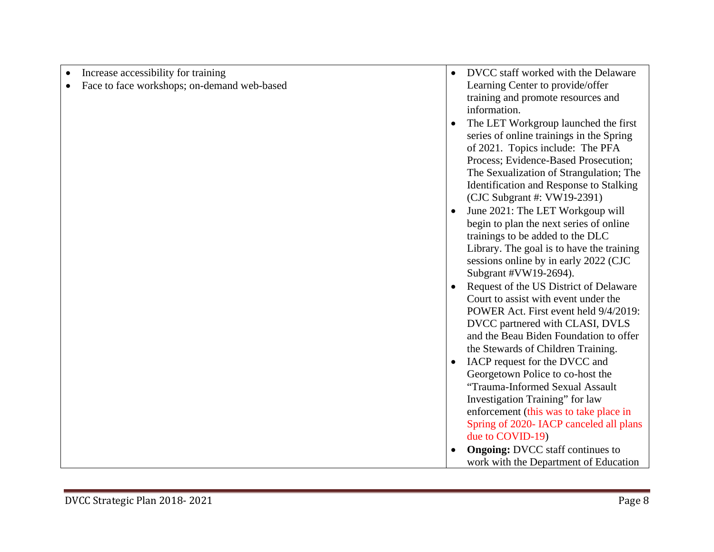| Increase accessibility for training         | DVCC staff worked with the Delaware                                      |
|---------------------------------------------|--------------------------------------------------------------------------|
| Face to face workshops; on-demand web-based | Learning Center to provide/offer                                         |
|                                             | training and promote resources and                                       |
|                                             | information.                                                             |
|                                             | The LET Workgroup launched the first                                     |
|                                             | series of online trainings in the Spring                                 |
|                                             | of 2021. Topics include: The PFA                                         |
|                                             | Process; Evidence-Based Prosecution;                                     |
|                                             | The Sexualization of Strangulation; The                                  |
|                                             | Identification and Response to Stalking                                  |
|                                             | (CJC Subgrant #: VW19-2391)                                              |
|                                             | June 2021: The LET Workgoup will                                         |
|                                             | begin to plan the next series of online                                  |
|                                             | trainings to be added to the DLC                                         |
|                                             | Library. The goal is to have the training                                |
|                                             | sessions online by in early 2022 (CJC                                    |
|                                             | Subgrant #VW19-2694).                                                    |
|                                             | Request of the US District of Delaware                                   |
|                                             | Court to assist with event under the                                     |
|                                             | POWER Act. First event held 9/4/2019:<br>DVCC partnered with CLASI, DVLS |
|                                             | and the Beau Biden Foundation to offer                                   |
|                                             | the Stewards of Children Training.                                       |
|                                             | IACP request for the DVCC and                                            |
|                                             | Georgetown Police to co-host the                                         |
|                                             | "Trauma-Informed Sexual Assault                                          |
|                                             | Investigation Training" for law                                          |
|                                             | enforcement (this was to take place in                                   |
|                                             | Spring of 2020- IACP canceled all plans                                  |
|                                             | due to COVID-19)                                                         |
|                                             | <b>Ongoing: DVCC</b> staff continues to                                  |
|                                             | work with the Department of Education                                    |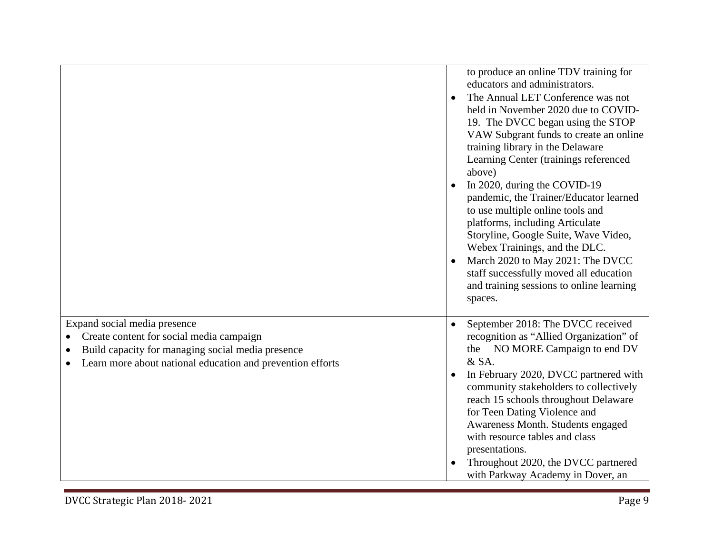|                                                                                                                                                                                             | to produce an online TDV training for<br>educators and administrators.<br>The Annual LET Conference was not<br>$\bullet$<br>held in November 2020 due to COVID-<br>19. The DVCC began using the STOP<br>VAW Subgrant funds to create an online<br>training library in the Delaware<br>Learning Center (trainings referenced<br>above)<br>In 2020, during the COVID-19<br>pandemic, the Trainer/Educator learned<br>to use multiple online tools and<br>platforms, including Articulate<br>Storyline, Google Suite, Wave Video,<br>Webex Trainings, and the DLC.<br>March 2020 to May 2021: The DVCC<br>staff successfully moved all education<br>and training sessions to online learning<br>spaces. |
|---------------------------------------------------------------------------------------------------------------------------------------------------------------------------------------------|------------------------------------------------------------------------------------------------------------------------------------------------------------------------------------------------------------------------------------------------------------------------------------------------------------------------------------------------------------------------------------------------------------------------------------------------------------------------------------------------------------------------------------------------------------------------------------------------------------------------------------------------------------------------------------------------------|
| Expand social media presence<br>Create content for social media campaign<br>Build capacity for managing social media presence<br>Learn more about national education and prevention efforts | September 2018: The DVCC received<br>recognition as "Allied Organization" of<br>the NO MORE Campaign to end DV<br>& SA.<br>In February 2020, DVCC partnered with<br>community stakeholders to collectively<br>reach 15 schools throughout Delaware<br>for Teen Dating Violence and<br>Awareness Month. Students engaged<br>with resource tables and class<br>presentations.<br>Throughout 2020, the DVCC partnered<br>with Parkway Academy in Dover, an                                                                                                                                                                                                                                              |